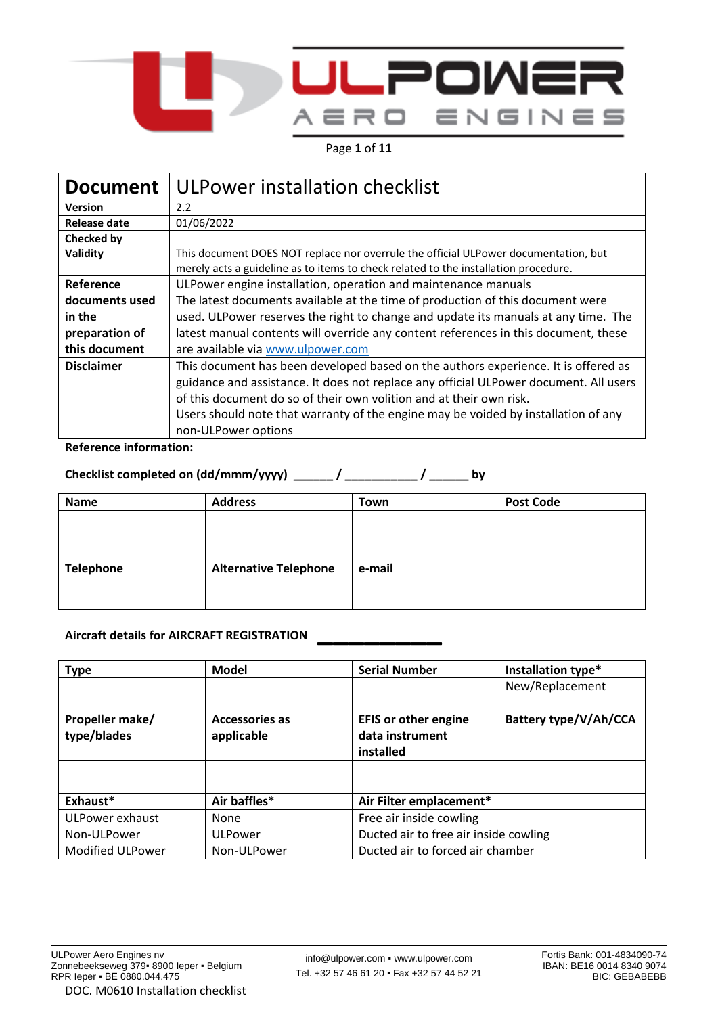# ULPOWER AERO ENGINES

Page **1** of **11**

| <b>Document</b>     | ULPower installation checklist                                                                                                                                             |
|---------------------|----------------------------------------------------------------------------------------------------------------------------------------------------------------------------|
| <b>Version</b>      | 2.2                                                                                                                                                                        |
| <b>Release date</b> | 01/06/2022                                                                                                                                                                 |
| Checked by          |                                                                                                                                                                            |
| Validity            | This document DOES NOT replace nor overrule the official ULPower documentation, but<br>merely acts a guideline as to items to check related to the installation procedure. |
| Reference           | ULPower engine installation, operation and maintenance manuals                                                                                                             |
| documents used      | The latest documents available at the time of production of this document were                                                                                             |
| in the              | used. ULPower reserves the right to change and update its manuals at any time. The                                                                                         |
| preparation of      | latest manual contents will override any content references in this document, these                                                                                        |
| this document       | are available via www.ulpower.com                                                                                                                                          |
| <b>Disclaimer</b>   | This document has been developed based on the authors experience. It is offered as                                                                                         |
|                     | guidance and assistance. It does not replace any official ULPower document. All users                                                                                      |
|                     | of this document do so of their own volition and at their own risk.                                                                                                        |
|                     | Users should note that warranty of the engine may be voided by installation of any                                                                                         |
|                     | non-ULPower options                                                                                                                                                        |

**Reference information:**

#### **Checklist completed on (dd/mmm/yyyy) \_\_\_\_\_\_ / \_\_\_\_\_\_\_\_\_\_\_ / \_\_\_\_\_\_ by**

| <b>Name</b>      | <b>Address</b>               | Town   | <b>Post Code</b> |
|------------------|------------------------------|--------|------------------|
|                  |                              |        |                  |
|                  |                              |        |                  |
|                  |                              |        |                  |
| <b>Telephone</b> | <b>Alternative Telephone</b> | e-mail |                  |
|                  |                              |        |                  |
|                  |                              |        |                  |

#### **Aircraft details for AIRCRAFT REGISTRATION \_\_\_\_\_\_\_\_**

| <b>Type</b>                    | <b>Model</b>                        | <b>Serial Number</b>                                        | Installation type*    |
|--------------------------------|-------------------------------------|-------------------------------------------------------------|-----------------------|
|                                |                                     |                                                             | New/Replacement       |
| Propeller make/<br>type/blades | <b>Accessories as</b><br>applicable | <b>EFIS or other engine</b><br>data instrument<br>installed | Battery type/V/Ah/CCA |
|                                |                                     |                                                             |                       |
| Exhaust*                       | Air baffles*                        | Air Filter emplacement*                                     |                       |
| ULPower exhaust                | <b>None</b>                         | Free air inside cowling                                     |                       |
| Non-ULPower                    | <b>ULPower</b>                      | Ducted air to free air inside cowling                       |                       |
| <b>Modified ULPower</b>        | Non-ULPower                         | Ducted air to forced air chamber                            |                       |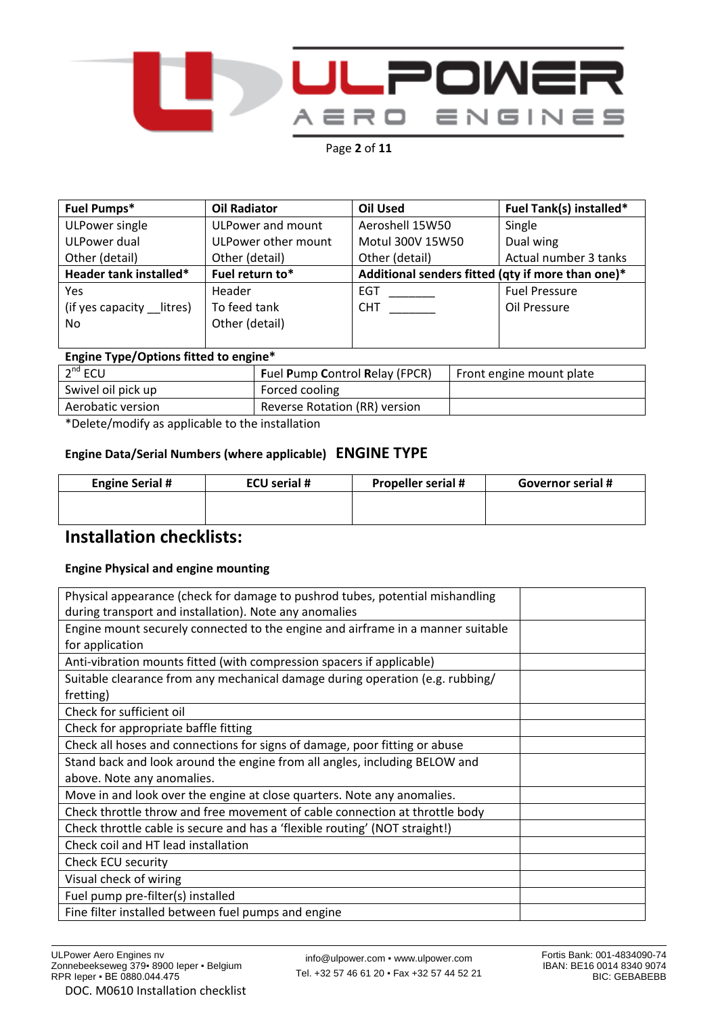

Page **2** of **11**

| Fuel Pumps*              | <b>Oil Radiator</b>      | <b>Oil Used</b>                                   | Fuel Tank(s) installed* |
|--------------------------|--------------------------|---------------------------------------------------|-------------------------|
| <b>ULPower single</b>    | <b>ULPower and mount</b> | Aeroshell 15W50                                   | Single                  |
| ULPower dual             | ULPower other mount      | Motul 300V 15W50                                  | Dual wing               |
| Other (detail)           | Other (detail)           | Other (detail)                                    | Actual number 3 tanks   |
| Header tank installed*   | Fuel return to*          | Additional senders fitted (qty if more than one)* |                         |
| Yes                      | Header                   | EGT                                               | <b>Fuel Pressure</b>    |
| (if yes capacity litres) | To feed tank             | <b>CHT</b>                                        | Oil Pressure            |
| <b>No</b>                | Other (detail)           |                                                   |                         |
|                          |                          |                                                   |                         |

#### **Engine Type/Options fitted to engine\***

| $2^{nd}$ ECU       | Fuel Pump Control Relay (FPCR) | Front engine mount plate |
|--------------------|--------------------------------|--------------------------|
| Swivel oil pick up | Forced cooling                 |                          |
| Aerobatic version  | Reverse Rotation (RR) version  |                          |
| .<br>___<br>.      |                                |                          |

\*Delete/modify as applicable to the installation

#### **Engine Data/Serial Numbers (where applicable) ENGINE TYPE**

| <b>Engine Serial #</b> | <b>ECU</b> serial # | <b>Propeller serial #</b> | <b>Governor serial #</b> |
|------------------------|---------------------|---------------------------|--------------------------|
|                        |                     |                           |                          |
|                        |                     |                           |                          |

### **Installation checklists:**

#### **Engine Physical and engine mounting**

| Physical appearance (check for damage to pushrod tubes, potential mishandling   |
|---------------------------------------------------------------------------------|
| during transport and installation). Note any anomalies                          |
| Engine mount securely connected to the engine and airframe in a manner suitable |
| for application                                                                 |
| Anti-vibration mounts fitted (with compression spacers if applicable)           |
| Suitable clearance from any mechanical damage during operation (e.g. rubbing/   |
| fretting)                                                                       |
| Check for sufficient oil                                                        |
| Check for appropriate baffle fitting                                            |
| Check all hoses and connections for signs of damage, poor fitting or abuse      |
| Stand back and look around the engine from all angles, including BELOW and      |
| above. Note any anomalies.                                                      |
| Move in and look over the engine at close quarters. Note any anomalies.         |
| Check throttle throw and free movement of cable connection at throttle body     |
| Check throttle cable is secure and has a 'flexible routing' (NOT straight!)     |
| Check coil and HT lead installation                                             |
| Check ECU security                                                              |
| Visual check of wiring                                                          |
| Fuel pump pre-filter(s) installed                                               |
| Fine filter installed between fuel pumps and engine                             |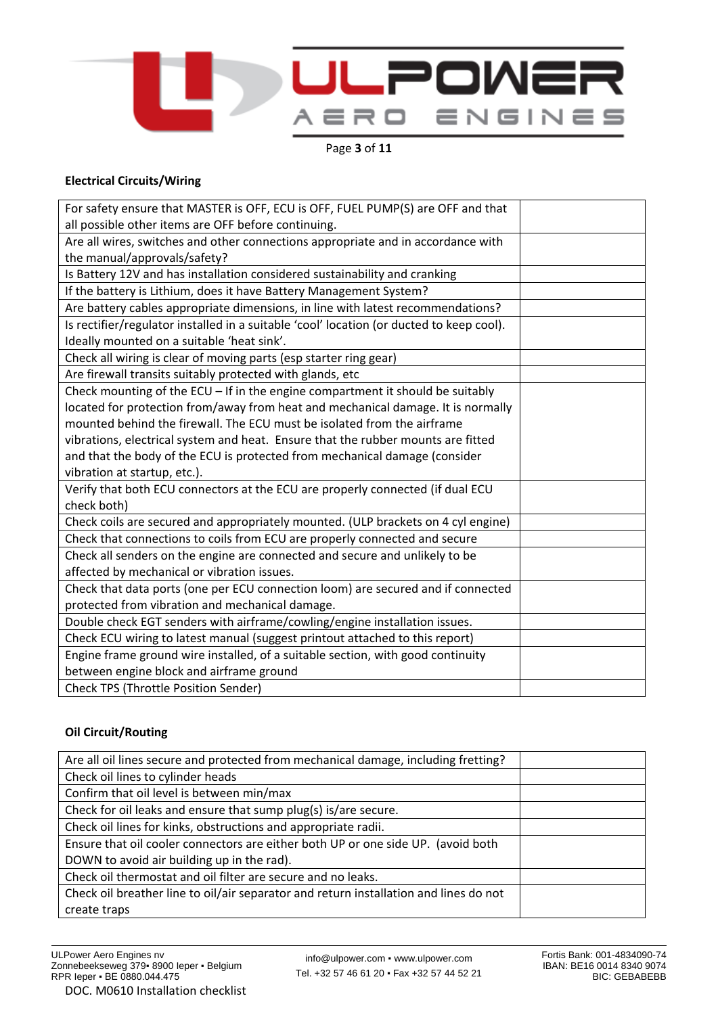

Page **3** of **11**

#### **Electrical Circuits/Wiring**

| For safety ensure that MASTER is OFF, ECU is OFF, FUEL PUMP(S) are OFF and that          |  |
|------------------------------------------------------------------------------------------|--|
| all possible other items are OFF before continuing.                                      |  |
| Are all wires, switches and other connections appropriate and in accordance with         |  |
| the manual/approvals/safety?                                                             |  |
| Is Battery 12V and has installation considered sustainability and cranking               |  |
| If the battery is Lithium, does it have Battery Management System?                       |  |
| Are battery cables appropriate dimensions, in line with latest recommendations?          |  |
| Is rectifier/regulator installed in a suitable 'cool' location (or ducted to keep cool). |  |
| Ideally mounted on a suitable 'heat sink'.                                               |  |
| Check all wiring is clear of moving parts (esp starter ring gear)                        |  |
| Are firewall transits suitably protected with glands, etc                                |  |
| Check mounting of the $ECU - If$ in the engine compartment it should be suitably         |  |
| located for protection from/away from heat and mechanical damage. It is normally         |  |
| mounted behind the firewall. The ECU must be isolated from the airframe                  |  |
| vibrations, electrical system and heat. Ensure that the rubber mounts are fitted         |  |
| and that the body of the ECU is protected from mechanical damage (consider               |  |
| vibration at startup, etc.).                                                             |  |
| Verify that both ECU connectors at the ECU are properly connected (if dual ECU           |  |
| check both)                                                                              |  |
| Check coils are secured and appropriately mounted. (ULP brackets on 4 cyl engine)        |  |
| Check that connections to coils from ECU are properly connected and secure               |  |
| Check all senders on the engine are connected and secure and unlikely to be              |  |
| affected by mechanical or vibration issues.                                              |  |
| Check that data ports (one per ECU connection loom) are secured and if connected         |  |
| protected from vibration and mechanical damage.                                          |  |
| Double check EGT senders with airframe/cowling/engine installation issues.               |  |
| Check ECU wiring to latest manual (suggest printout attached to this report)             |  |
| Engine frame ground wire installed, of a suitable section, with good continuity          |  |
| between engine block and airframe ground                                                 |  |
| <b>Check TPS (Throttle Position Sender)</b>                                              |  |

#### **Oil Circuit/Routing**

| Are all oil lines secure and protected from mechanical damage, including fretting?    |
|---------------------------------------------------------------------------------------|
| Check oil lines to cylinder heads                                                     |
| Confirm that oil level is between min/max                                             |
| Check for oil leaks and ensure that sump plug(s) is/are secure.                       |
| Check oil lines for kinks, obstructions and appropriate radii.                        |
| Ensure that oil cooler connectors are either both UP or one side UP. (avoid both      |
| DOWN to avoid air building up in the rad).                                            |
| Check oil thermostat and oil filter are secure and no leaks.                          |
| Check oil breather line to oil/air separator and return installation and lines do not |
| create traps                                                                          |

info@ulpower.com ▪ www.ulpower.com Tel. +32 57 46 61 20 ▪ Fax +32 57 44 52 21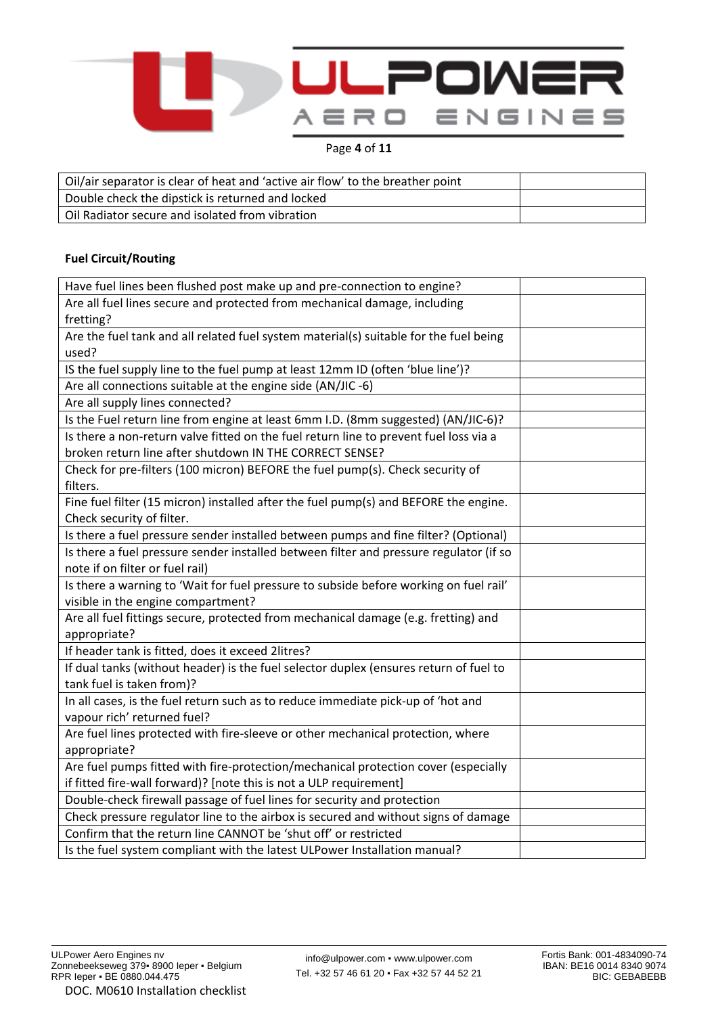# **\_POWER** U AERO ENGINES

Page **4** of **11**

| Oil/air separator is clear of heat and 'active air flow' to the breather point |  |
|--------------------------------------------------------------------------------|--|
| Double check the dipstick is returned and locked                               |  |
| Oil Radiator secure and isolated from vibration                                |  |

#### **Fuel Circuit/Routing**

| Have fuel lines been flushed post make up and pre-connection to engine?                |  |
|----------------------------------------------------------------------------------------|--|
| Are all fuel lines secure and protected from mechanical damage, including              |  |
| fretting?                                                                              |  |
| Are the fuel tank and all related fuel system material(s) suitable for the fuel being  |  |
| used?                                                                                  |  |
| IS the fuel supply line to the fuel pump at least 12mm ID (often 'blue line')?         |  |
| Are all connections suitable at the engine side (AN/JIC -6)                            |  |
| Are all supply lines connected?                                                        |  |
| Is the Fuel return line from engine at least 6mm I.D. (8mm suggested) (AN/JIC-6)?      |  |
| Is there a non-return valve fitted on the fuel return line to prevent fuel loss via a  |  |
| broken return line after shutdown IN THE CORRECT SENSE?                                |  |
| Check for pre-filters (100 micron) BEFORE the fuel pump(s). Check security of          |  |
| filters.                                                                               |  |
| Fine fuel filter (15 micron) installed after the fuel pump(s) and BEFORE the engine.   |  |
| Check security of filter.                                                              |  |
| Is there a fuel pressure sender installed between pumps and fine filter? (Optional)    |  |
| Is there a fuel pressure sender installed between filter and pressure regulator (if so |  |
| note if on filter or fuel rail)                                                        |  |
| Is there a warning to 'Wait for fuel pressure to subside before working on fuel rail'  |  |
| visible in the engine compartment?                                                     |  |
| Are all fuel fittings secure, protected from mechanical damage (e.g. fretting) and     |  |
| appropriate?                                                                           |  |
| If header tank is fitted, does it exceed 2litres?                                      |  |
| If dual tanks (without header) is the fuel selector duplex (ensures return of fuel to  |  |
| tank fuel is taken from)?                                                              |  |
| In all cases, is the fuel return such as to reduce immediate pick-up of 'hot and       |  |
| vapour rich' returned fuel?                                                            |  |
| Are fuel lines protected with fire-sleeve or other mechanical protection, where        |  |
| appropriate?                                                                           |  |
| Are fuel pumps fitted with fire-protection/mechanical protection cover (especially     |  |
| if fitted fire-wall forward)? [note this is not a ULP requirement]                     |  |
| Double-check firewall passage of fuel lines for security and protection                |  |
| Check pressure regulator line to the airbox is secured and without signs of damage     |  |
| Confirm that the return line CANNOT be 'shut off' or restricted                        |  |
| Is the fuel system compliant with the latest ULPower Installation manual?              |  |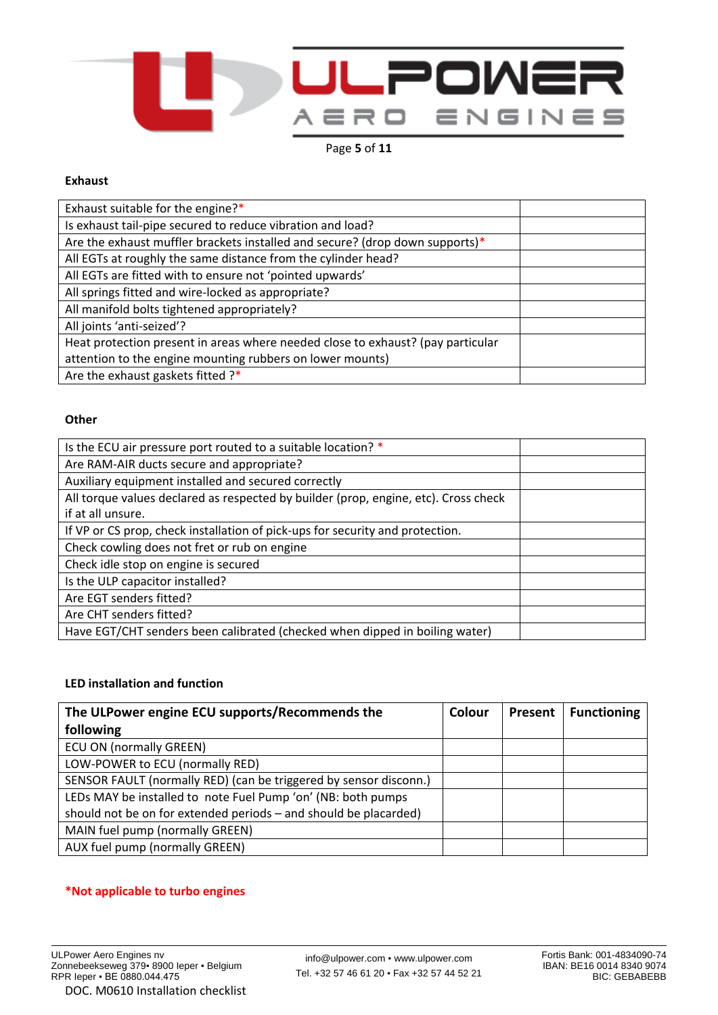

Page **5** of **11**

#### **Exhaust**

| Exhaust suitable for the engine?*                                               |  |
|---------------------------------------------------------------------------------|--|
| Is exhaust tail-pipe secured to reduce vibration and load?                      |  |
| Are the exhaust muffler brackets installed and secure? (drop down supports)*    |  |
| All EGTs at roughly the same distance from the cylinder head?                   |  |
| All EGTs are fitted with to ensure not 'pointed upwards'                        |  |
| All springs fitted and wire-locked as appropriate?                              |  |
| All manifold bolts tightened appropriately?                                     |  |
| All joints 'anti-seized'?                                                       |  |
| Heat protection present in areas where needed close to exhaust? (pay particular |  |
| attention to the engine mounting rubbers on lower mounts)                       |  |
| Are the exhaust gaskets fitted ?*                                               |  |

#### **Other**

| Is the ECU air pressure port routed to a suitable location? *                       |
|-------------------------------------------------------------------------------------|
| Are RAM-AIR ducts secure and appropriate?                                           |
| Auxiliary equipment installed and secured correctly                                 |
| All torque values declared as respected by builder (prop, engine, etc). Cross check |
| if at all unsure.                                                                   |
| If VP or CS prop, check installation of pick-ups for security and protection.       |
| Check cowling does not fret or rub on engine                                        |
| Check idle stop on engine is secured                                                |
| Is the ULP capacitor installed?                                                     |
| Are EGT senders fitted?                                                             |
| Are CHT senders fitted?                                                             |
| Have EGT/CHT senders been calibrated (checked when dipped in boiling water)         |

#### **LED installation and function**

| The ULPower engine ECU supports/Recommends the                    | Colour | Present | <b>Functioning</b> |
|-------------------------------------------------------------------|--------|---------|--------------------|
| following                                                         |        |         |                    |
| <b>ECU ON (normally GREEN)</b>                                    |        |         |                    |
| LOW-POWER to ECU (normally RED)                                   |        |         |                    |
| SENSOR FAULT (normally RED) (can be triggered by sensor disconn.) |        |         |                    |
| LEDs MAY be installed to note Fuel Pump 'on' (NB: both pumps      |        |         |                    |
| should not be on for extended periods - and should be placarded)  |        |         |                    |
| MAIN fuel pump (normally GREEN)                                   |        |         |                    |
| AUX fuel pump (normally GREEN)                                    |        |         |                    |

#### **\*Not applicable to turbo engines**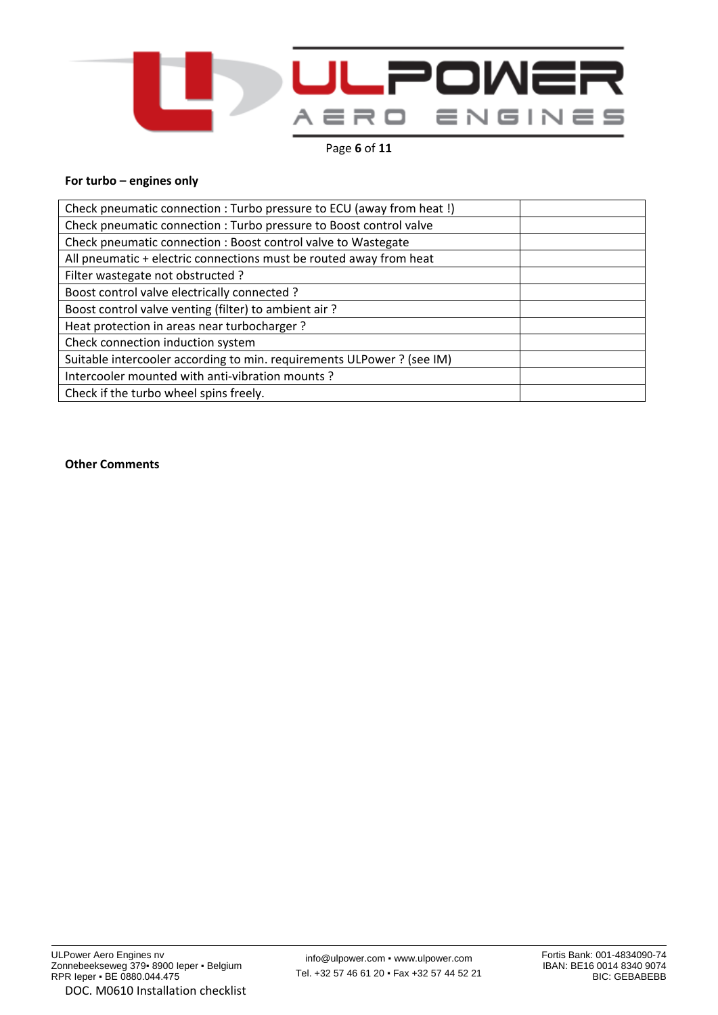

Page **6** of **11**

#### **For turbo – engines only**

| Check pneumatic connection : Turbo pressure to ECU (away from heat !)  |
|------------------------------------------------------------------------|
| Check pneumatic connection: Turbo pressure to Boost control valve      |
| Check pneumatic connection : Boost control valve to Wastegate          |
| All pneumatic + electric connections must be routed away from heat     |
| Filter wastegate not obstructed?                                       |
| Boost control valve electrically connected ?                           |
| Boost control valve venting (filter) to ambient air?                   |
| Heat protection in areas near turbocharger ?                           |
| Check connection induction system                                      |
| Suitable intercooler according to min. requirements ULPower ? (see IM) |
| Intercooler mounted with anti-vibration mounts?                        |
| Check if the turbo wheel spins freely.                                 |

**Other Comments**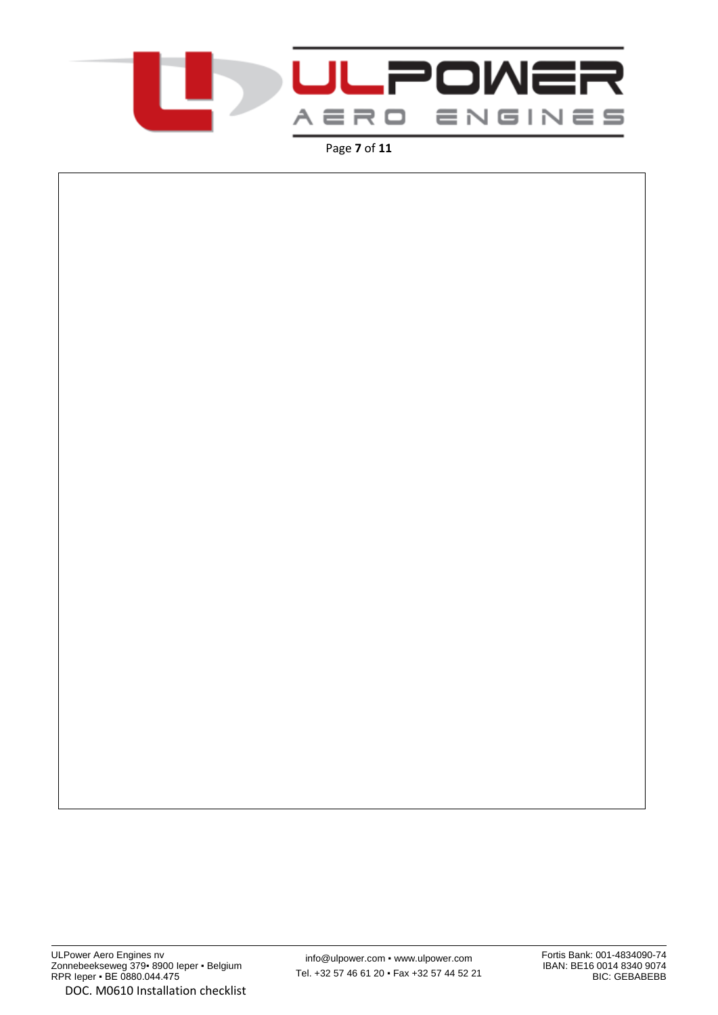

Page **7** of **11**

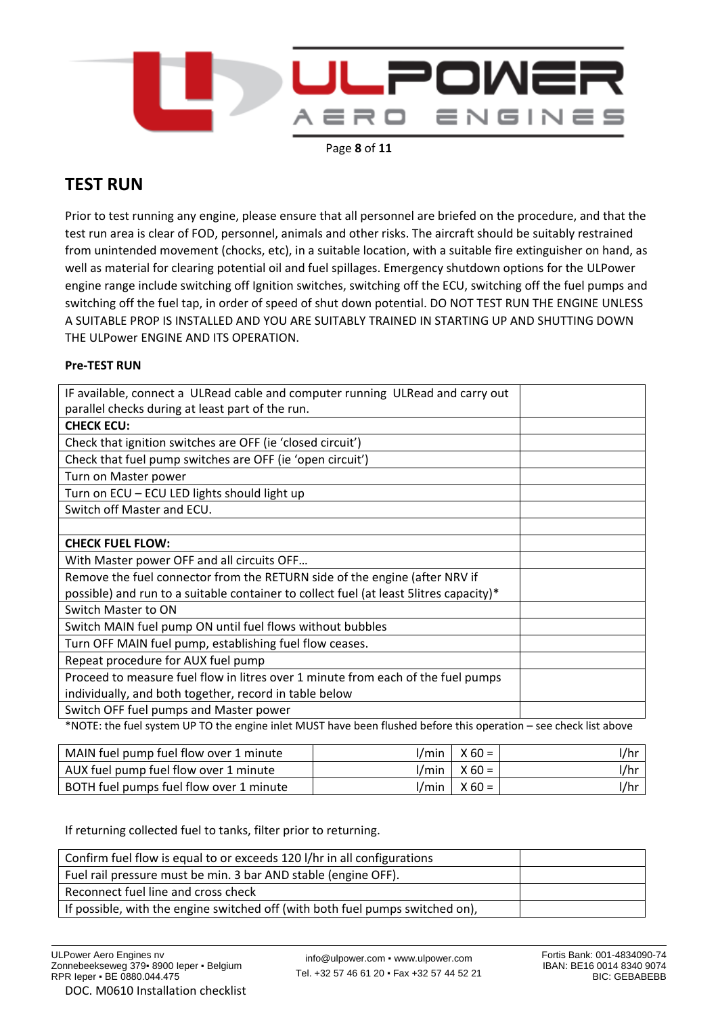

Page **8** of **11**

## **TEST RUN**

Prior to test running any engine, please ensure that all personnel are briefed on the procedure, and that the test run area is clear of FOD, personnel, animals and other risks. The aircraft should be suitably restrained from unintended movement (chocks, etc), in a suitable location, with a suitable fire extinguisher on hand, as well as material for clearing potential oil and fuel spillages. Emergency shutdown options for the ULPower engine range include switching off Ignition switches, switching off the ECU, switching off the fuel pumps and switching off the fuel tap, in order of speed of shut down potential. DO NOT TEST RUN THE ENGINE UNLESS A SUITABLE PROP IS INSTALLED AND YOU ARE SUITABLY TRAINED IN STARTING UP AND SHUTTING DOWN THE ULPower ENGINE AND ITS OPERATION.

#### **Pre-TEST RUN**

| IF available, connect a ULRead cable and computer running ULRead and carry out                                       |  |
|----------------------------------------------------------------------------------------------------------------------|--|
| parallel checks during at least part of the run.                                                                     |  |
| <b>CHECK ECU:</b>                                                                                                    |  |
| Check that ignition switches are OFF (ie 'closed circuit')                                                           |  |
| Check that fuel pump switches are OFF (ie 'open circuit')                                                            |  |
| Turn on Master power                                                                                                 |  |
| Turn on ECU - ECU LED lights should light up                                                                         |  |
| Switch off Master and ECU.                                                                                           |  |
|                                                                                                                      |  |
| <b>CHECK FUEL FLOW:</b>                                                                                              |  |
| With Master power OFF and all circuits OFF                                                                           |  |
| Remove the fuel connector from the RETURN side of the engine (after NRV if                                           |  |
| possible) and run to a suitable container to collect fuel (at least 5litres capacity)*                               |  |
| Switch Master to ON                                                                                                  |  |
| Switch MAIN fuel pump ON until fuel flows without bubbles                                                            |  |
| Turn OFF MAIN fuel pump, establishing fuel flow ceases.                                                              |  |
| Repeat procedure for AUX fuel pump                                                                                   |  |
| Proceed to measure fuel flow in litres over 1 minute from each of the fuel pumps                                     |  |
| individually, and both together, record in table below                                                               |  |
| Switch OFF fuel pumps and Master power                                                                               |  |
| $*$ NOTE: the fuel system UD TO the engine inlet MUST have been flushed before this eneration - see sheek list above |  |

\*NOTE: the fuel system UP TO the engine inlet MUST have been flushed before this operation – see check list above

| MAIN fuel pump fuel flow over 1 minute  |       | $1/min$   $X 60 =$ | 1/hr |
|-----------------------------------------|-------|--------------------|------|
| AUX fuel pump fuel flow over 1 minute   |       | $1/min$   $X 60 =$ | ı/hr |
| BOTH fuel pumps fuel flow over 1 minute | l/min | $X 60 =$           | ı/hr |

If returning collected fuel to tanks, filter prior to returning.

| Confirm fuel flow is equal to or exceeds 120 l/hr in all configurations       |  |
|-------------------------------------------------------------------------------|--|
| Fuel rail pressure must be min. 3 bar AND stable (engine OFF).                |  |
| Reconnect fuel line and cross check                                           |  |
| If possible, with the engine switched off (with both fuel pumps switched on), |  |

info@ulpower.com ▪ www.ulpower.com Tel. +32 57 46 61 20 ▪ Fax +32 57 44 52 21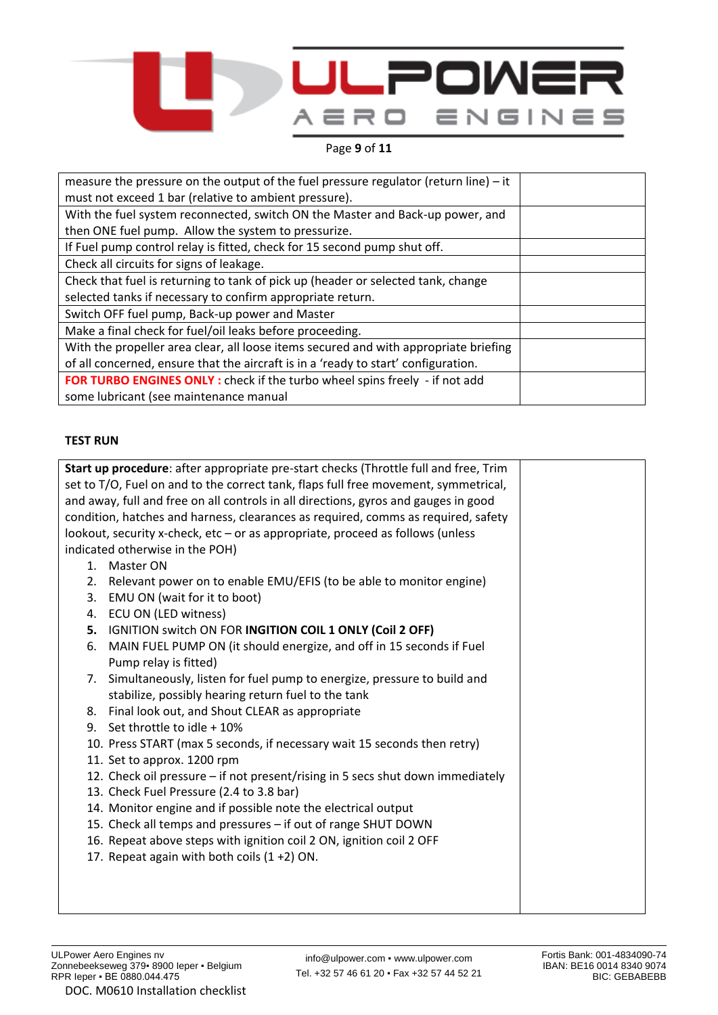# LPOWER Л AERO ENGINES

Page **9** of **11**

| measure the pressure on the output of the fuel pressure regulator (return line) $-$ it<br>must not exceed 1 bar (relative to ambient pressure). |
|-------------------------------------------------------------------------------------------------------------------------------------------------|
|                                                                                                                                                 |
| With the fuel system reconnected, switch ON the Master and Back-up power, and                                                                   |
| then ONE fuel pump. Allow the system to pressurize.                                                                                             |
| If Fuel pump control relay is fitted, check for 15 second pump shut off.                                                                        |
| Check all circuits for signs of leakage.                                                                                                        |
| Check that fuel is returning to tank of pick up (header or selected tank, change                                                                |
| selected tanks if necessary to confirm appropriate return.                                                                                      |
| Switch OFF fuel pump, Back-up power and Master                                                                                                  |
| Make a final check for fuel/oil leaks before proceeding.                                                                                        |
| With the propeller area clear, all loose items secured and with appropriate briefing                                                            |
| of all concerned, ensure that the aircraft is in a 'ready to start' configuration.                                                              |
| FOR TURBO ENGINES ONLY : check if the turbo wheel spins freely - if not add                                                                     |
| some lubricant (see maintenance manual                                                                                                          |

#### **TEST RUN**

|    | Start up procedure: after appropriate pre-start checks (Throttle full and free, Trim |  |
|----|--------------------------------------------------------------------------------------|--|
|    | set to T/O, Fuel on and to the correct tank, flaps full free movement, symmetrical,  |  |
|    | and away, full and free on all controls in all directions, gyros and gauges in good  |  |
|    | condition, hatches and harness, clearances as required, comms as required, safety    |  |
|    | lookout, security x-check, etc - or as appropriate, proceed as follows (unless       |  |
|    | indicated otherwise in the POH)                                                      |  |
| 1. | Master ON                                                                            |  |
|    | 2. Relevant power on to enable EMU/EFIS (to be able to monitor engine)               |  |
| 3. | EMU ON (wait for it to boot)                                                         |  |
|    | 4. ECU ON (LED witness)                                                              |  |
| 5. | IGNITION switch ON FOR INGITION COIL 1 ONLY (Coil 2 OFF)                             |  |
| 6. | MAIN FUEL PUMP ON (it should energize, and off in 15 seconds if Fuel                 |  |
|    | Pump relay is fitted)                                                                |  |
| 7. | Simultaneously, listen for fuel pump to energize, pressure to build and              |  |
|    | stabilize, possibly hearing return fuel to the tank                                  |  |
|    | 8. Final look out, and Shout CLEAR as appropriate                                    |  |
|    | 9. Set throttle to idle + 10%                                                        |  |
|    | 10. Press START (max 5 seconds, if necessary wait 15 seconds then retry)             |  |
|    | 11. Set to approx. 1200 rpm                                                          |  |
|    | 12. Check oil pressure – if not present/rising in 5 secs shut down immediately       |  |
|    | 13. Check Fuel Pressure (2.4 to 3.8 bar)                                             |  |
|    | 14. Monitor engine and if possible note the electrical output                        |  |
|    | 15. Check all temps and pressures - if out of range SHUT DOWN                        |  |
|    | 16. Repeat above steps with ignition coil 2 ON, ignition coil 2 OFF                  |  |
|    | 17. Repeat again with both coils (1 +2) ON.                                          |  |
|    |                                                                                      |  |
|    |                                                                                      |  |
|    |                                                                                      |  |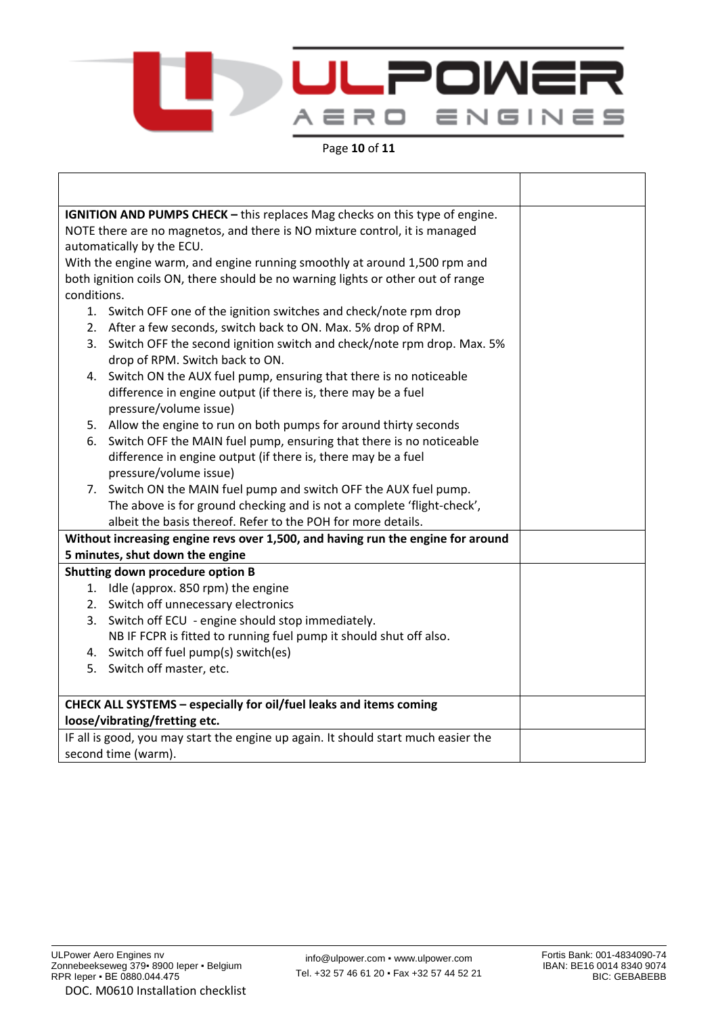

Page **10** of **11**

|             | IGNITION AND PUMPS CHECK - this replaces Mag checks on this type of engine.        |  |
|-------------|------------------------------------------------------------------------------------|--|
|             | NOTE there are no magnetos, and there is NO mixture control, it is managed         |  |
|             | automatically by the ECU.                                                          |  |
|             | With the engine warm, and engine running smoothly at around 1,500 rpm and          |  |
|             | both ignition coils ON, there should be no warning lights or other out of range    |  |
| conditions. |                                                                                    |  |
|             | 1. Switch OFF one of the ignition switches and check/note rpm drop                 |  |
| 2.          | After a few seconds, switch back to ON. Max. 5% drop of RPM.                       |  |
| 3.          | Switch OFF the second ignition switch and check/note rpm drop. Max. 5%             |  |
|             | drop of RPM. Switch back to ON.                                                    |  |
| 4.          | Switch ON the AUX fuel pump, ensuring that there is no noticeable                  |  |
|             | difference in engine output (if there is, there may be a fuel                      |  |
|             | pressure/volume issue)                                                             |  |
| 5.          | Allow the engine to run on both pumps for around thirty seconds                    |  |
| 6.          | Switch OFF the MAIN fuel pump, ensuring that there is no noticeable                |  |
|             | difference in engine output (if there is, there may be a fuel                      |  |
|             | pressure/volume issue)                                                             |  |
|             | 7. Switch ON the MAIN fuel pump and switch OFF the AUX fuel pump.                  |  |
|             | The above is for ground checking and is not a complete 'flight-check',             |  |
|             | albeit the basis thereof. Refer to the POH for more details.                       |  |
|             | Without increasing engine revs over 1,500, and having run the engine for around    |  |
|             | 5 minutes, shut down the engine                                                    |  |
|             | Shutting down procedure option B                                                   |  |
|             | 1. Idle (approx. 850 rpm) the engine                                               |  |
|             | 2. Switch off unnecessary electronics                                              |  |
|             | 3. Switch off ECU - engine should stop immediately.                                |  |
|             | NB IF FCPR is fitted to running fuel pump it should shut off also.                 |  |
| 4.          | Switch off fuel pump(s) switch(es)                                                 |  |
|             | 5. Switch off master, etc.                                                         |  |
|             |                                                                                    |  |
|             | CHECK ALL SYSTEMS - especially for oil/fuel leaks and items coming                 |  |
|             | loose/vibrating/fretting etc.                                                      |  |
|             | IF all is good, you may start the engine up again. It should start much easier the |  |
|             | second time (warm).                                                                |  |